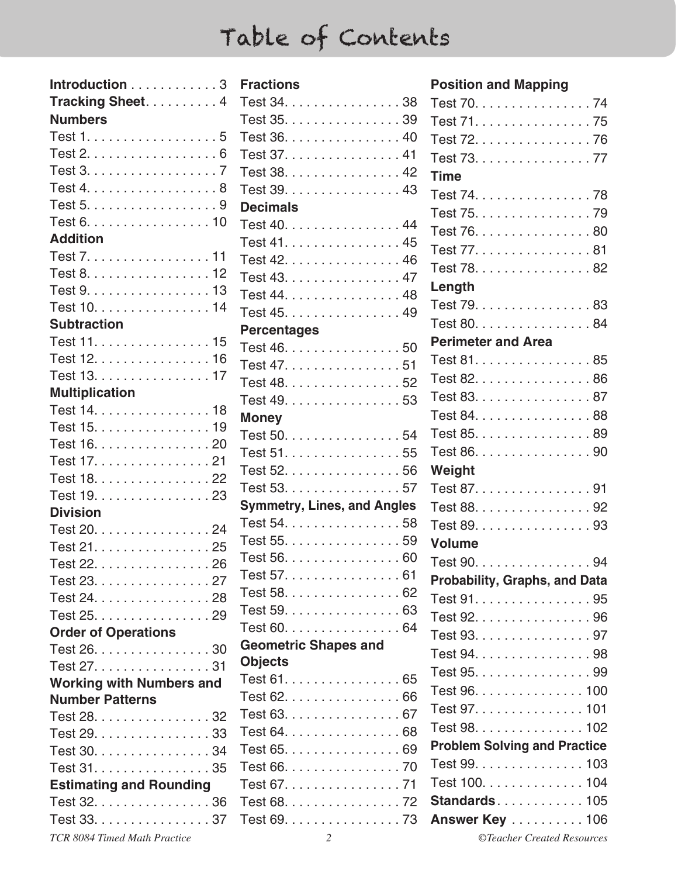| Introduction 3                  |
|---------------------------------|
| Tracking Sheet. 4               |
| <b>Numbers</b>                  |
| Test 1. 5                       |
| Test 2. 6                       |
| Test 3. 7                       |
| Test 4. 8                       |
| Test 5. 9                       |
| Test 6. 10                      |
| <b>Addition</b>                 |
| Test 7. 11                      |
| Test 8. 12                      |
| Test 9. 13                      |
| Test 10. 14                     |
| <b>Subtraction</b>              |
| Test 11. 15                     |
| Test 12. 16                     |
| Test 13. 17                     |
| <b>Multiplication</b>           |
| Test 14. 18                     |
| Test 15. 19                     |
| Test 16. 20                     |
| Test 17. 21                     |
| Test 18. 22                     |
| Test 19. 23                     |
| <b>Division</b>                 |
| Test 20. 24                     |
| Test 21. 25                     |
| Test 22. 26                     |
| Test 23. 27                     |
| Test 24. 28                     |
| Test 25. 29                     |
| <b>Order of Operations</b>      |
| Test 26. 30                     |
| Test 27. 31                     |
|                                 |
| <b>Working with Numbers and</b> |
| <b>Number Patterns</b>          |
| Test 28. 32                     |
| Test 29. 33                     |
| Test 30. 34                     |
| Test 31. 35                     |
| <b>Estimating and Rounding</b>  |
| Test 32. 36                     |

| Introduction 3                                 | <b>Fractions</b>                   | <b>Position and Mapping</b>          |
|------------------------------------------------|------------------------------------|--------------------------------------|
| Tracking Sheet4                                | Test 34. 38                        | Test 70. 74                          |
| <b>Numbers</b>                                 | Test 35. 39                        | Test 71. 75                          |
| Test $1, \ldots, \ldots, \ldots, \ldots, 5$    | Test 36. 40                        | Test 72. 76                          |
| Test $2. \ldots \ldots \ldots \ldots \ldots 6$ | Test 37. 41                        | Test 73. 77                          |
| Test 3. 7                                      | Test 38. 42                        | <b>Time</b>                          |
| Test 4. 8                                      | Test 39. 43                        | Test 74. 78                          |
| Test 5. 9                                      | <b>Decimals</b>                    | Test 75. 79                          |
| Test 6. 10                                     | Test 40. 44                        | Test 76. 80                          |
| <b>Addition</b>                                | Test 41. 45                        | Test 77. 81                          |
| Test 7. 11                                     | Test 42. 46                        | Test 78. 82                          |
| Test 8. 12                                     | Test 43. 47                        |                                      |
| Test 9. 13                                     | Test 44. 48                        | Length                               |
| Test 10. 14                                    | Test 45. 49                        | Test 79. 83                          |
| <b>Subtraction</b>                             | <b>Percentages</b>                 | Test 80. 84                          |
| Test 11. 15                                    | Test 46. 50                        | <b>Perimeter and Area</b>            |
| Test 12. 16                                    | Test 47. 51                        | Test 81. 85                          |
| Test 13. 17                                    | Test 48. 52                        | Test 82. 86                          |
| <b>Multiplication</b>                          | Test 49. 53                        | Test 83. 87                          |
| Test 14. 18                                    | <b>Money</b>                       | Test 84. 88                          |
| Test 15. 19                                    | Test 50. 54                        | Test 85. 89                          |
| Test 16. 20                                    | Test 51. 55                        | Test 86. 90                          |
| Test 17. 21                                    | Test 52. 56                        | Weight                               |
| Test 18. 22                                    | Test 53. 57                        | Test 87. 91                          |
| Test 19. 23                                    | <b>Symmetry, Lines, and Angles</b> | Test 88. 92                          |
| <b>Division</b>                                | Test 54. 58                        | Test 89. 93                          |
| Test 20. 24                                    | Test 55. 59                        | <b>Volume</b>                        |
| Test 21. 25                                    | Test 56. 60                        |                                      |
| Test 22. 26                                    | Test 57. 61                        | Test 90. 94                          |
| Test 23. 27                                    | Test 58. 62                        | <b>Probability, Graphs, and Data</b> |
| Test 24. 28                                    | Test 59. 63                        | Test 91. 95                          |
| Test 25. 29                                    | Test 60. 64                        | Test 92. 96                          |
| <b>Order of Operations</b>                     | <b>Geometric Shapes and</b>        | Test 93. 97                          |
| Test 26. 30                                    | <b>Objects</b>                     | Test 94. 98                          |
| Test 27. 31                                    | Test 61. 65                        | Test 95. 99                          |
| <b>Working with Numbers and</b>                | Test 62. 66                        | Test 96. 100                         |
| <b>Number Patterns</b>                         | Test 63. 67                        | Test 97. 101                         |
| Test 28. 32<br>Test 29. 33                     | Test 64. 68                        | Test 98. 102                         |
|                                                | Test 65. 69                        | <b>Problem Solving and Practice</b>  |
| Test 30. 34<br>Test 31. 35                     | Test 66. 70                        | Test 99. 103                         |
|                                                | Test 67. 71                        | Test 100. 104                        |
| <b>Estimating and Rounding</b><br>Test 32. 36  | Test 68. 72                        | <b>Standards105</b>                  |
| Test 33. 37                                    | Test 69. 73                        | <b>Answer Key  106</b>               |
| TCR 8084 Timed Math Practice                   | 2                                  | ©Teacher Created Resources           |
|                                                |                                    |                                      |

#### **Position and Mapping**

| Test 70. 74                          |  |
|--------------------------------------|--|
| Test 71. 75                          |  |
| Test 72. 76                          |  |
| Test 73. 77                          |  |
| <b>Time</b>                          |  |
| Test 74. 78                          |  |
| Test 75. 79                          |  |
| Test 76. 80                          |  |
| Test 77. 81                          |  |
| Test 78. 82                          |  |
| Length                               |  |
| Test 79. 83                          |  |
| Test 80. 84                          |  |
| <b>Perimeter and Area</b>            |  |
| Test 81. 85                          |  |
| Test 82. 86                          |  |
| Test 83. 87                          |  |
| Test 84. 88                          |  |
| Test 85. 89                          |  |
| Test 86. 90                          |  |
| Weight                               |  |
| Test 87. 91                          |  |
| Test 88. 92                          |  |
| Test 89. 93                          |  |
| <b>Volume</b>                        |  |
| Test 90. 94                          |  |
| <b>Probability, Graphs, and Data</b> |  |
| Test 91. 95                          |  |
| Test 92. 96                          |  |
| Test 93. 97                          |  |
| Test 94. 98                          |  |
| Test 95. 99                          |  |
| Test 96. 100                         |  |
| Test 97. 101                         |  |
| Test 98. 102                         |  |
| <b>Problem Solving and Practice</b>  |  |
| Test 99. 103                         |  |
| Test 100. 104                        |  |
| Standards 105                        |  |
| <b>Answer Key</b> 106                |  |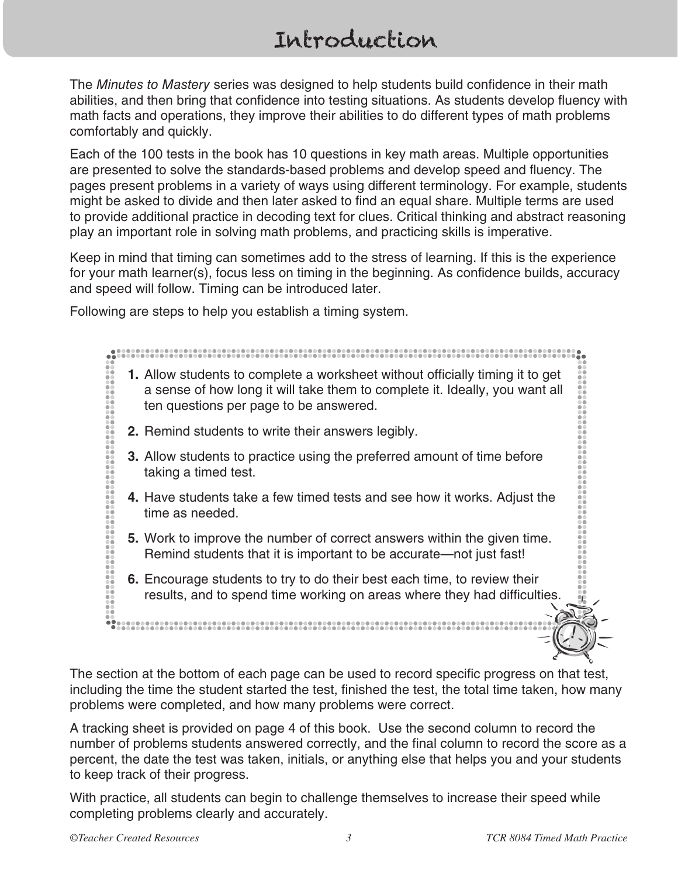# Introduction

The *Minutes to Mastery* series was designed to help students build confidence in their math abilities, and then bring that confidence into testing situations. As students develop fluency with math facts and operations, they improve their abilities to do different types of math problems comfortably and quickly.

Each of the 100 tests in the book has 10 questions in key math areas. Multiple opportunities are presented to solve the standards-based problems and develop speed and fluency. The pages present problems in a variety of ways using different terminology. For example, students might be asked to divide and then later asked to find an equal share. Multiple terms are used to provide additional practice in decoding text for clues. Critical thinking and abstract reasoning play an important role in solving math problems, and practicing skills is imperative.

Keep in mind that timing can sometimes add to the stress of learning. If this is the experience for your math learner(s), focus less on timing in the beginning. As confidence builds, accuracy and speed will follow. Timing can be introduced later.

Following are steps to help you establish a timing system.

# **1.** Allow students to complete a worksheet without officially timing it to get a sense of how long it will take them to complete it. Ideally, you want all ten questions per page to be answered. **2.** Remind students to write their answers legibly. **3.** Allow students to practice using the preferred amount of time before taking a timed test. **4.** Have students take a few timed tests and see how it works. Adjust the time as needed. **5.** Work to improve the number of correct answers within the given time. Remind students that it is important to be accurate—not just fast! **6.** Encourage students to try to do their best each time, to review their results, and to spend time working on areas where they had difficulties.

The section at the bottom of each page can be used to record specific progress on that test, including the time the student started the test, finished the test, the total time taken, how many problems were completed, and how many problems were correct.

A tracking sheet is provided on page 4 of this book. Use the second column to record the number of problems students answered correctly, and the final column to record the score as a percent, the date the test was taken, initials, or anything else that helps you and your students to keep track of their progress.

With practice, all students can begin to challenge themselves to increase their speed while completing problems clearly and accurately.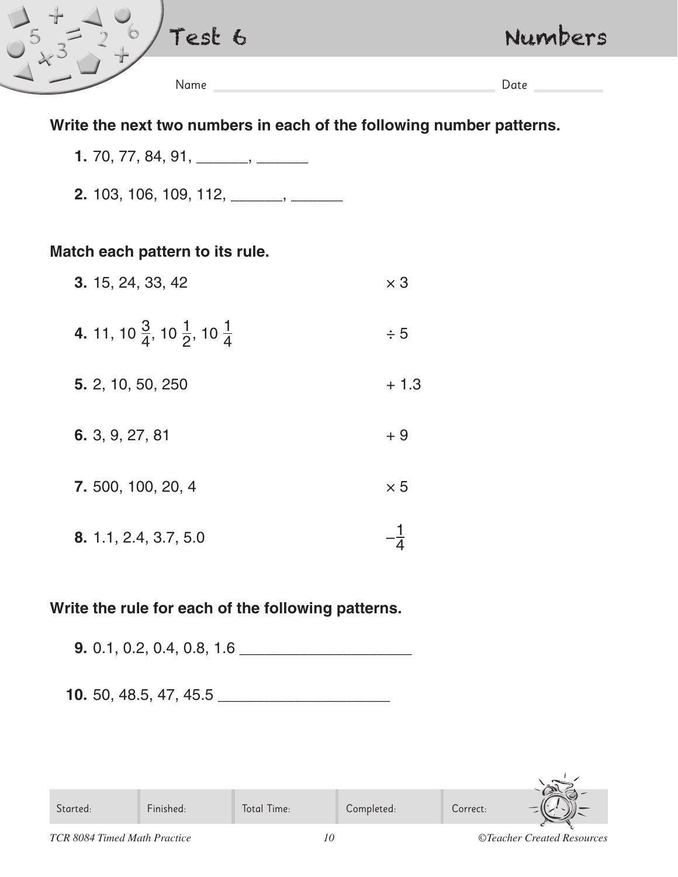| $\overline{\phantom{a}}$ | rasmilitä.<br>$65 -$<br>$\bullet$ | Numbers |
|--------------------------|-----------------------------------|---------|
|                          | Name                              | Date    |

### **Write the next two numbers in each of the following number patterns.**

- **1.** 70, 77, 84, 91, \_\_\_\_\_\_, \_\_\_\_\_\_
- **2.** 103, 106, 109, 112, \_\_\_\_\_\_, \_\_\_\_\_\_

#### **Match each pattern to its rule.**

| 3. 15, 24, 33, 42                                             | $\times$ 3 |
|---------------------------------------------------------------|------------|
| 4. 11, 10 $\frac{3}{4}$ , 10 $\frac{1}{2}$ , 10 $\frac{1}{4}$ | $\div$ 5   |
| 5. 2, 10, 50, 250                                             | $+1.3$     |
| 6. 3, 9, 27, 81                                               | $+9$       |
| 7. 500, 100, 20, 4                                            | $\times 5$ |
| 8. 1.1, 2.4, 3.7, 5.0                                         |            |

### **Write the rule for each of the following patterns.**

**9.** 0.1, 0.2, 0.4, 0.8, 1.6 \_\_\_\_\_\_\_\_\_\_\_\_\_\_\_\_\_\_\_\_

**10.** 50, 48.5, 47, 45.5 **\_\_\_\_\_\_\_\_\_\_\_\_\_\_\_\_\_\_\_\_**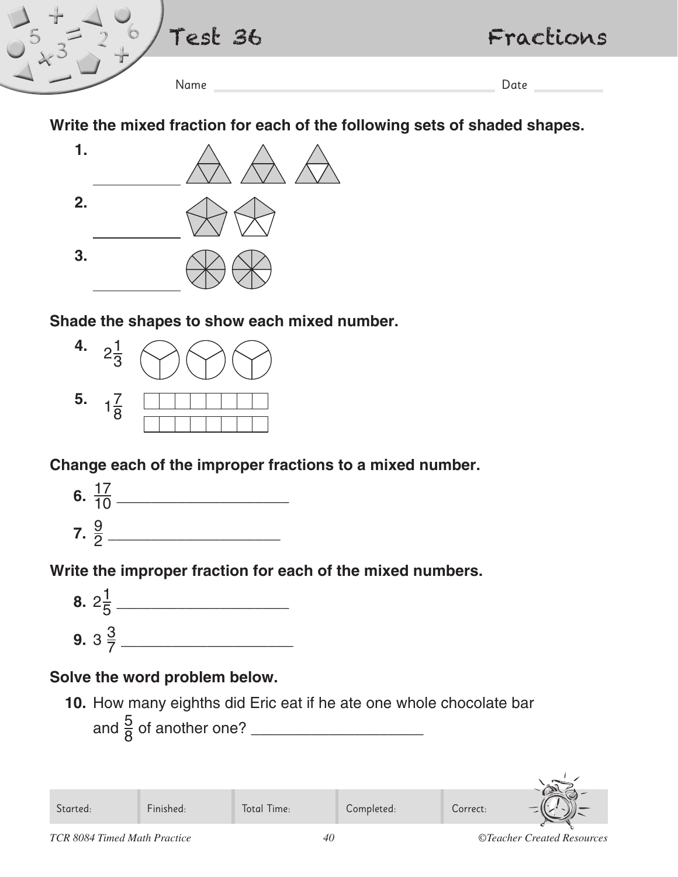

# **Write the mixed fraction for each of the following sets of shaded shapes.**



### **Shade the shapes to show each mixed number.**



## **Change each of the improper fractions to a mixed number.**



# **Write the improper fraction for each of the mixed numbers.**



## **Solve the word problem below.**

**10.** How many eighths did Eric eat if he ate one whole chocolate bar and <sup>5</sup> <sup>8</sup> of another one? \_\_\_\_\_\_\_\_\_\_\_\_\_\_\_\_\_\_\_\_